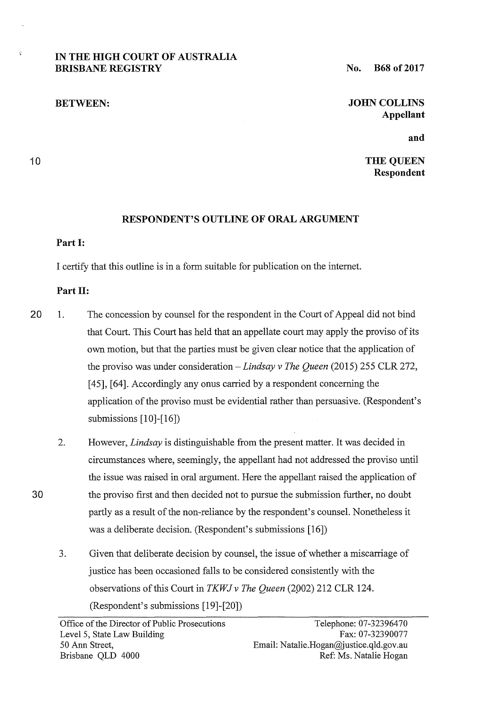# **IN THE HIGH COURT OF AUSTRALIA BRISBANE REGISTRY**

**BETWEEN:** 

**No. B68 of2017** 

**JOHN COLLINS Appellant** 

**and** 

**THE QUEEN Respondent** 

## **RESPONDENT'S OUTLINE OF ORAL ARGUMENT**

#### **Part 1:**

10

Ý.

I certify that this outline is in a form suitable for publication on the intemet.

#### **Part 11:**

- 20 1. The concession by counsel for the respondent in the Court of Appeal did not bind that Court. This Court has held that an appellate court may apply the proviso of its own motion, but that the parties must be given clear notice that the application of the proviso was under consideration – *Lindsay v The Queen* (2015) 255 CLR 272, [45], [64]. Accordingly any onus carried by a respondent concerning the application of the proviso must be evidential rather than persuasive. (Respondent's submissions [10]-[16])
	- 2. However, *Lindsay* is distinguishable from the present matter. It was decided in circumstances where, seemingly, the appellant had not addressed the proviso until the issue was raised in oral argument. Here the appellant raised the application of the proviso first and then decided not to pursue the submission further, no doubt partly as a result of the non-reliance by the respondent's counsel. Nonetheless it was a deliberate decision. (Respondent's submissions [16])
	- 3. Given that deliberate decision by counsel, the issue of whether a miscarriage of justice has been occasioned falls to be considered consistently with the observations of this Court in *TKWJ v The Queen* (2902) 212 CLR 124. (Respondent's submissions [19]-[20])

30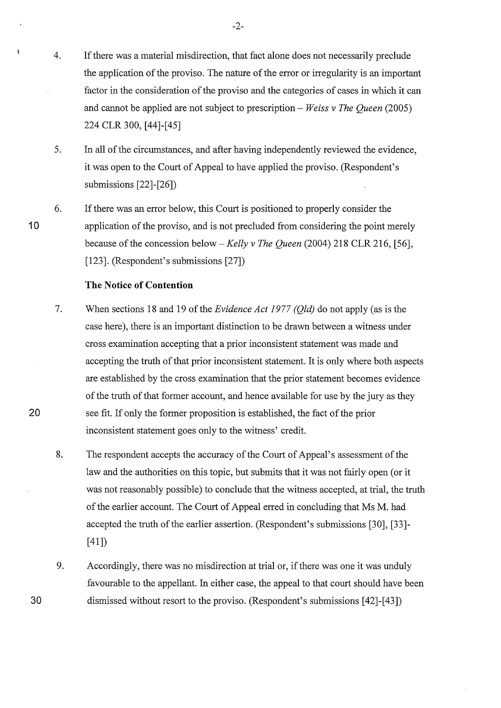- 4. If there was a material misdirection, that fact alone does not necessarily preclude the application of the proviso. The nature of the error or irregularity is an important factor in the consideration of the proviso and the categories of cases in which it can and cannot be applied are not subject to prescription- *Weiss v The Queen* (2005) 224 CLR 300, [44]-[45]
- 5. In all of the circumstances, and after having independently reviewed the evidence, it was open to the Court of Appeal to have applied the proviso. (Respondent's submissions [22]-[26])
- 6. If there was an error below, this Court is positioned to properly consider the application of the proviso, and is not precluded from considering the point merely because of the concession below- *Kelly v The Queen* (2004) 218 CLR 216, [56], [123]. (Respondent's submissions [27])

### **The Notice of Contention**

- 7. When sections 18 and 19 of the *Evidence Act 1977 (Qld)* do not apply (as is the case here), there is an important distinction to be drawn between a witness under cross examination accepting that a prior inconsistent statement was made and accepting the truth of that prior inconsistent statement. It is only where both aspects are established by the cross examination that the prior statement becomes evidence of the truth of that former account, and hence available for use by the jury as they see fit. If only the former proposition is established, the fact of the prior inconsistent statement goes only to the witness' credit.
- 8. The respondent accepts the accuracy of the Court of Appeal's assessment of the law and the authorities on this topic, but submits that it was not fairly open (or it was not reasonably possible) to conclude that the witness accepted, at trial, the truth of the earlier account. The Court of Appeal erred in concluding that Ms M. had accepted the truth of the earlier assertion. (Respondent's submissions [30], [33]- [41])
- 9. Accordingly, there was no misdirection at trial or, if there was one it was unduly favourable to the appellant. In either case, the appeal to that court should have been dismissed without resort to the proviso. (Respondent's submissions [42]-[43])

20

30

10

Ý